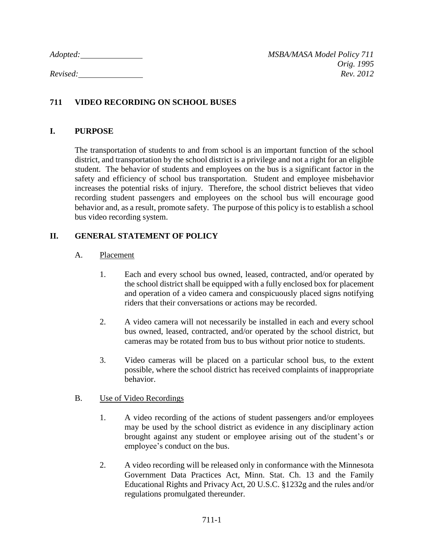# **711 VIDEO RECORDING ON SCHOOL BUSES**

## **I. PURPOSE**

The transportation of students to and from school is an important function of the school district, and transportation by the school district is a privilege and not a right for an eligible student. The behavior of students and employees on the bus is a significant factor in the safety and efficiency of school bus transportation. Student and employee misbehavior increases the potential risks of injury. Therefore, the school district believes that video recording student passengers and employees on the school bus will encourage good behavior and, as a result, promote safety. The purpose of this policy is to establish a school bus video recording system.

## **II. GENERAL STATEMENT OF POLICY**

## A. Placement

- 1. Each and every school bus owned, leased, contracted, and/or operated by the school district shall be equipped with a fully enclosed box for placement and operation of a video camera and conspicuously placed signs notifying riders that their conversations or actions may be recorded.
- 2. A video camera will not necessarily be installed in each and every school bus owned, leased, contracted, and/or operated by the school district, but cameras may be rotated from bus to bus without prior notice to students.
- 3. Video cameras will be placed on a particular school bus, to the extent possible, where the school district has received complaints of inappropriate behavior.

## B. Use of Video Recordings

- 1. A video recording of the actions of student passengers and/or employees may be used by the school district as evidence in any disciplinary action brought against any student or employee arising out of the student's or employee's conduct on the bus.
- 2. A video recording will be released only in conformance with the Minnesota Government Data Practices Act, Minn. Stat. Ch. 13 and the Family Educational Rights and Privacy Act, 20 U.S.C. §1232g and the rules and/or regulations promulgated thereunder.